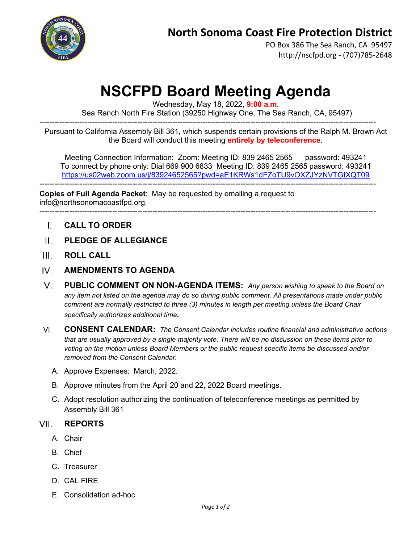

PO Box 386 The Sea Ranch, CA 95497 http://nscfpd.org - (707)785-2648

# **NSCFPD Board Meeting Agenda**

Wednesday, May 18, 2022, **9:00 a.m.**

--------------------------------------------------------------------------------------------------------------------------------------

Sea Ranch North Fire Station (39250 Highway One, The Sea Ranch, CA, 95497)

Pursuant to California Assembly Bill 361, which suspends certain provisions of the Ralph M. Brown Act the Board will conduct this meeting **entirely by teleconference**.

Meeting Connection Information: Zoom: Meeting ID: 839 2465 2565 password: 493241 To connect by phone only: Dial 669 900 6833 Meeting ID: 839 2465 2565 password: 493241 <https://us02web.zoom.us/j/83924652565?pwd=aE1KRWs1dFZoTU9vOXZJYzNVTGtXQT09> --------------------------------------------------------------------------------------------------------------------------------------

**Copies of Full Agenda Packet**: May be requested by emailing a request to info@northsonomacoastfpd.org.

- --------------------------------------------------------------------------------------------------------------------------------------
	- **CALL TO ORDER**  $\mathsf{L}$
	- **PLEDGE OF ALLEGIANCE**  $\Pi$ .
- $III$ **ROLL CALL**
- IV. **AMENDMENTS TO AGENDA**
- $V_{\parallel}$ **PUBLIC COMMENT ON NON-AGENDA ITEMS:** *Any person wishing to speak to the Board on any item not listed on the agenda may do so during public comment. All presentations made under public comment are normally restricted to three (3) minutes in length per meeting unless the Board Chair specifically authorizes additional time.*
- $VI$ **CONSENT CALENDAR:** *The Consent Calendar includes routine financial and administrative actions that are usually approved by a single majority vote. There will be no discussion on these items prior to voting on the motion unless Board Members or the public request specific items be discussed and/or removed from the Consent Calendar.*
	- A. Approve Expenses: March, 2022.
	- B. Approve minutes from the April 20 and 22, 2022 Board meetings.
	- C. Adopt resolution authorizing the continuation of teleconference meetings as permitted by Assembly Bill 361

#### **VII REPORTS**

- A. Chair
- B. Chief
- C. Treasurer
- D. CAL FIRE
- E. Consolidation ad-hoc